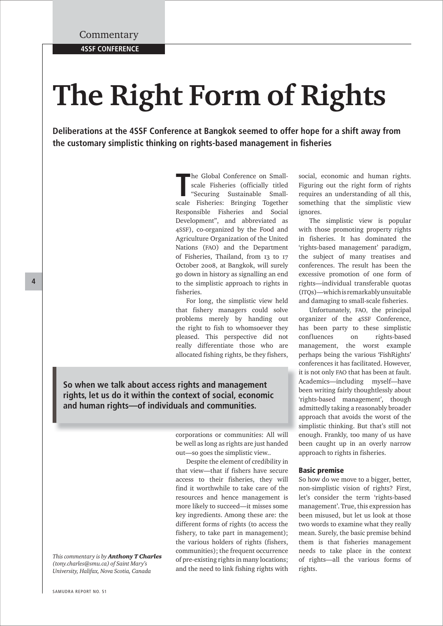# **The Right Form of Rights**

**Deliberations at the 4SSF Conference at Bangkok seemed to offer hope for a shift away from**  the customary simplistic thinking on rights-based management in fisheries

> The Global Conference on Small-<br>
> scale Fisheries (officially titled<br>
> "Securing Sustainable Small-<br>
> scale Fisheries: Bringing Together he Global Conference on Smallscale Fisheries (officially titled "Securing Sustainable Small-Responsible Fisheries and Social Development", and abbreviated as 4SSF), co-organized by the Food and Agriculture Organization of the United Nations (FAO) and the Department of Fisheries, Thailand, from 13 to 17 October 2008, at Bangkok, will surely go down in history as signalling an end to the simplistic approach to rights in fisheries.

> For long, the simplistic view held that fishery managers could solve problems merely by handing out the right to fish to whomsoever they pleased. This perspective did not really differentiate those who are allocated fishing rights, be they fishers,

**So when we talk about access rights and management rights, let us do it within the context of social, economic and human rights—of individuals and communities.**

> corporations or communities: All will corporations or communities: All will be well as long as rights are just handed out—so goes the simplistic view..

> Despite the element of credibility in that view—that if fishers have secure access to their fisheries, they will find it worthwhile to take care of the resources and hence management is more likely to succeed—it misses some key ingredients. Among these are: the different forms of rights (to access the fishery, to take part in management); the various holders of rights (fishers, communities); the frequent occurrence of pre-existing rights in many locations; and the need to link fishing rights with

social, economic and human rights. Figuring out the right form of rights requires an understanding of all this, something that the simplistic view ignores.

The simplistic view is popular with those promoting property rights in fisheries. It has dominated the 'rights-based management' paradigm, the subject of many treatises and conferences. The result has been the excessive promotion of one form of rights—individual transferable quotas (ITQs)—which is remarkably unsuitable and damaging to small-scale fisheries.

Unfortunately, FAO, the principal organizer of the 4SSF Conference, has been party to these simplistic confluences on rights-based management, the worst example perhaps being the various 'FishRights' conferences it has facilitated. However, it is not only FAO that has been at fault. Academics—including myself—have A been writing fairly thoughtlessly about b 'rights-based management', though 'r admittedly taking a reasonably broader a approach that avoids the worst of the a simplistic thinking. But that's still not enough. Frankly, too many of us have e been caught up in an overly narrow approach to rights in fisheries.

#### **Basic premise**

So how do we move to a bigger, better, non-simplistic vision of rights? First, let's consider the term 'rights-based management'. True, this expression has been misused, but let us look at those two words to examine what they really mean. Surely, the basic premise behind them is that fisheries management needs to take place in the context of rights—all the various forms of rights.

#### **4**

*This commentary is by Anthony T Charles (tony.charles@smu.ca) of Saint Mary's University, Halifax, Nova Scotia, Canada*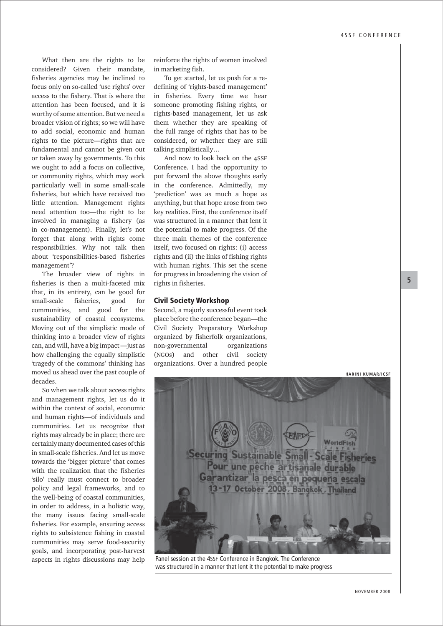What then are the rights to be considered? Given their mandate, fisheries agencies may be inclined to focus only on so-called 'use rights' over access to the fishery. That is where the attention has been focused, and it is worthy of some attention. But we need a broader vision of rights; so we will have to add social, economic and human rights to the picture—rights that are fundamental and cannot be given out or taken away by governments. To this we ought to add a focus on collective, or community rights, which may work particularly well in some small-scale fisheries, but which have received too little attention. Management rights need attention too—the right to be involved in managing a fishery (as in co-management). Finally, let's not forget that along with rights come responsibilities. Why not talk then about 'responsibilities-based fisheries management'?

The broader view of rights in fisheries is then a multi-faceted mix that, in its entirety, can be good for small-scale fisheries, good for communities, and good for the sustainability of coastal ecosystems. Moving out of the simplistic mode of thinking into a broader view of rights can, and will, have a big impact —just as how challenging the equally simplistic 'tragedy of the commons' thinking has moved us ahead over the past couple of decades.

So when we talk about access rights and management rights, let us do it within the context of social, economic and human rights—of individuals and communities. Let us recognize that rights may already be in place; there are certainly many documented cases of this in small-scale fisheries. And let us move towards the 'bigger picture' that comes with the realization that the fisheries 'silo' really must connect to broader policy and legal frameworks, and to the well-being of coastal communities, in order to address, in a holistic way, the many issues facing small-scale fisheries. For example, ensuring access rights to subsistence fishing in coastal communities may serve food-security goals, and incorporating post-harvest aspects in rights discussions may help

reinforce the rights of women involved in marketing fish.

To get started, let us push for a redefining of 'rights-based management' in fisheries. Every time we hear someone promoting fishing rights, or rights-based management, let us ask them whether they are speaking of the full range of rights that has to be considered, or whether they are still talking simplistically…

And now to look back on the 4SSF Conference. I had the opportunity to put forward the above thoughts early in the conference. Admittedly, my 'prediction' was as much a hope as anything, but that hope arose from two key realities. First, the conference itself was structured in a manner that lent it the potential to make progress. Of the three main themes of the conference itself, two focused on rights: (i) access rights and (ii) the links of fishing rights with human rights. This set the scene for progress in broadening the vision of rights in fisheries.

#### **Civil Society Workshop**

Second, a majorly successful event took place before the conference began—the Civil Society Preparatory Workshop organized by fisherfolk organizations, non-governmental organizations (NGOs) and other civil society organizations. Over a hundred people



Panel session at the 4SSF Conference in Bangkok. The Conference was structured in a manner that lent it the potential to make progress

**5**